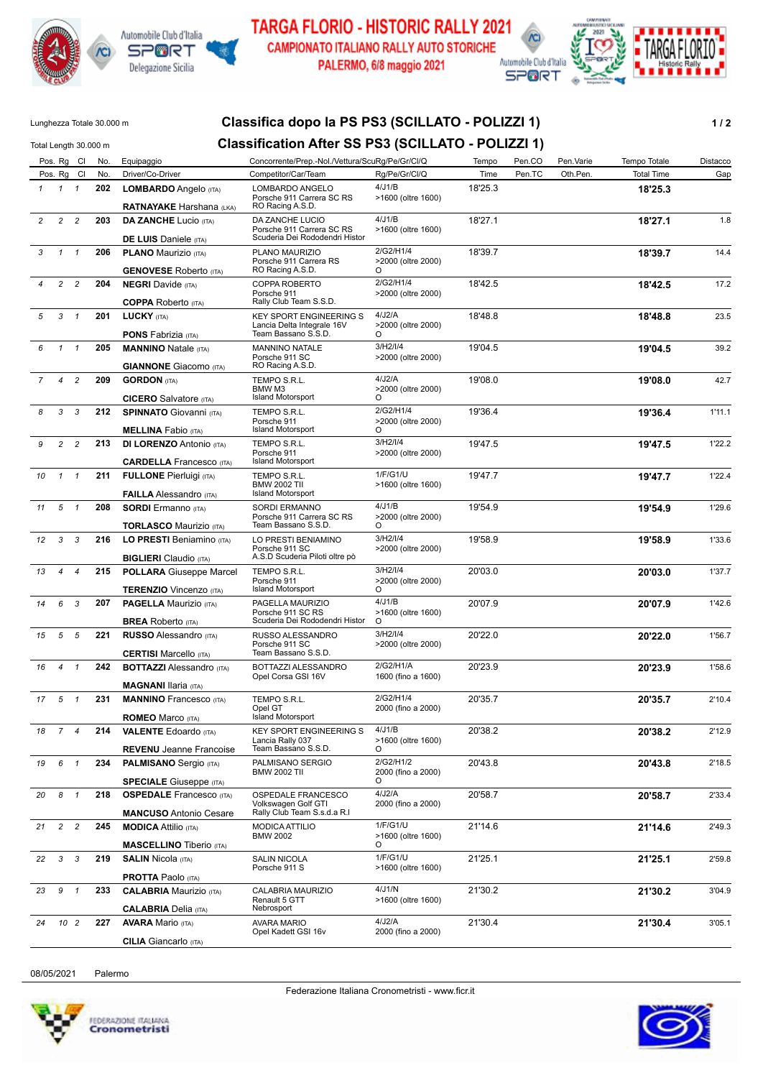



**TARGA FLORIO - HISTORIC RALLY 2021 CAMPIONATO ITALIANO RALLY AUTO STORICHE** PALERMO, 6/8 maggio 2021



## Lunghezza Totale 30.000 m **Classifica dopo la PS PS3 (SCILLATO - POLIZZI 1) 1 / 2** Total Length 30.000 m **Classification After SS PS3 (SCILLATO - POLIZZI 1)** Pos. Rg Cl No. Equipaggio Concorrente/Prep.-Nol./Vettura/ScuRg/Pe/Gr/Cl/Q Tempo Pen.CO Pen.Varie Tempo Totale Distacco Pos. Rg Cl No. Driver/Co-Driver Competitor/Car/Team Rg/Pe/Gr/Cl/Q Time Pen.TC Oth.Pen. Total Time Gap *1* **202 LOMBARDO** Angelo (ITA) **18'25.3** Porsche 911 Carrera SC RS RO Racing A.S.D. *1 1* **RATNAYAKE** Harshana (LKA) 18'25.3 4/J1/B >1600 (oltre 1600) LOMBARDO ANGELO *2* **203 DA ZANCHE** Lucio (ITA) **18'27.1** 1.8 Porsche 911 Carrera SC RS Scuderia Dei Rododendri Histor *2 2* **DE LUIS** Daniele (ITA) 18'27.1  $4/11/R$ >1600 (oltre 1600) DA ZANCHE LUCIO *3* **206 PLANO** Maurizio (ITA) **18'39.7** 14.4 Porsche 911 Carrera RS *1 1* **GENOVESE** Roberto (ITA) 18'39.7 RO Racing A.S.D. 2/G2/H1/4  $\overline{O}$ >2000 (oltre 2000) PLANO MAURIZIO *4* **204 NEGRI** Davide (ITA) **18'42.5** 17.2 Porsche 911 *2 2* **COPPA** Roberto (ITA) 18'42.5 Rally Club Team S.S.D. 2/G2/H1/4 >2000 (oltre 2000) COPPA ROBERTO *5* **201 LUCKY** (ITA) **18'48.8** 23.5 KEY SPORT ENGINEERING S Lancia Delta Integrale 16V Team Bassano S.S.D. *3 1* **PONS** Fabrizia (ITA) 18'48.8 4/J2/A O >2000 (oltre 2000) *6* **205 MANNINO** Natale (ITA) **19'04.5** 39.2 Porsche 911 SC *1 1* **GIANNONE** Giacomo (ITA) 19'04.5 RO Racing A.S.D. 3/H2/I/4 >2000 (oltre 2000) MANNINO NATALE *7* **209 GORDON** (ITA) **19'08.0** 42.7 BMW M3 *4 2* **CICERO** Salvatore (ITA) 19'08.0 Island Motorsport 4/J2/A  $\overline{O}$ >2000 (oltre 2000) TEMPO S.R.L. *8* **212 SPINNATO** Giovanni (ITA) **19'36.4** 1'11.1 Porsche 911 *3 3* **MELLINA** Fabio (ITA) 19'36.4 Island Motorsport 2/G2/H1/4 O >2000 (oltre 2000) TEMPO S.R.L. *9* **213 DI LORENZO** Antonio (ITA) **19'47.5** 1'22.2 Porsche 911 Island Motorsport *2 2* **CARDELLA** Francesco (ITA) 19'47.5 3/H2/I/4 >2000 (oltre 2000) TEMPO S.R.L. *10* **211 FULLONE** Pierluigi (ITA) **19'47.7** 1'22.4 BMW 2002 TII Island Motorsport *1 1* **FAILLA** Alessandro (ITA) 19'47.7 1/F/G1/U >1600 (oltre 1600) TEMPO S.R.L. *11* **208 SORDI** Ermanno (ITA) **19'54.9** 1'29.6 Porsche 911 Carrera SC RS Team Bassano S.S.D. *5 1* **TORLASCO** Maurizio (ITA) 19'54.9 4/J1/B  $\Omega$ >2000 (oltre 2000) SORDI ERMANNO *12* **216 LO PRESTI** Beniamino (ITA) **19'58.9** 1'33.6 Porsche 911 SC *3 3* **BIGLIERI** Claudio (ITA) 19'58.9 A.S.D Scuderia Piloti oltre pò 3/H2/I/4 >2000 (oltre 2000) LO PRESTI BENIAMINO *13* **215 POLLARA** Giuseppe Marcel **20'03.0** 1'37.7 Porsche 911 *4 4* **TERENZIO** Vincenzo (ITA) 20'03.0 Island Motorsport 3/H2/I/4 O >2000 (oltre 2000) TEMPO S.R.L. *14* **207 PAGELLA** Maurizio (ITA) **20'07.9** 1'42.6 Porsche 911 SC RS Scuderia Dei Rododendri Histor *6 3* **BREA** Roberto (ITA) 20'07.9 4/J1/B O >1600 (oltre 1600) PAGELLA MAURIZIO *15* **221 RUSSO** Alessandro (ITA) **20'22.0** 1'56.7 Porsche 911 SC *5 5* **CERTISI Marcello (ITA)** 20'22.0 Team Bassano S.S.D. 3/H2/I/4 >2000 (oltre 2000) RUSSO ALESSANDRO *16* **242 BOTTAZZI** Alessandro (ITA) **20'23.9** 1'58.6 Opel Corsa GSI 16V *4 1* **MAGNANI** Ilaria (ITA)  $2/G2/H1/A$ 1600 (fino a 1600) BOTTAZZI ALESSANDRO *17* **231 MANNINO** Francesco (ITA) **20'35.7** 2'10.4 Opel GT *5 1* **ROMEO** Marco (ITA) 20'35.7 Island Motorsport 2/G2/H1/4 2000 (fino a 2000) TEMPO S.R.L. *18* **214 VALENTE** Edoardo (ITA) **20'38.2** 2'12.9 Lancia Rally 037 Team Bassano S.S.D. *7 4* **REVENU** Jeanne Francoise 20'38.2  $4/11/R$  $\Omega$ >1600 (oltre 1600) KEY SPORT ENGINEERING S *19* **234 PALMISANO** Sergio (ITA) **20'43.8** 2'18.5 BMW 2002 TII *6 1* **SPECIALE** Giuseppe (ITA) 20'43.8  $\Omega$ 2000 (fino a 2000) PALMISANO SERGIO *20* **218 OSPEDALE** Francesco (ITA) **20'58.7** 2'33.4 Volkswagen Golf GTI Rally Club Team S.s.d.a R.l *8 1* **MANCUSO** Antonio Cesare 20'58.7 4/J2/A 2000 (fino a 2000) OSPEDALE FRANCESCO *21* **245 MODICA** Attilio (ITA) **21'14.6** 2'49.3 **BMW 2002** *2 2* 1/F/G1/U 21'14.6 >1600 (oltre 1600) MODICA ATTILIO



*3 3*

*10 2*

*9 1*

08/05/2021 Palermo

**MASCELLINO** Tiberio (ITA)

**PROTTA** Paolo (ITA)

**CALABRIA** Delia (ITA)

**CILIA** Giancarlo (ITA)

O

Porsche 911 S

Renault 5 GTT

AVARA MARIO

CALABRIA MAURIZIO

Opel Kadett GSI 16v

**Nebrosport** 

SALIN NICOLA

*22* **219 SALIN** Nicola (ITA) **21'25.1** 2'59.8

*23* **233 CALABRIA** Maurizio (ITA) **21'30.2** 3'04.9

*24* **227 AVARA** Mario (ITA) **21'30.4** 3'05.1

4/J1/N >1600 (oltre 1600)

>1600 (oltre 1600)

2000 (fino a 2000)

1/F/G1/U 21'25.1

4/J2/A 21'30.4

21'30.2